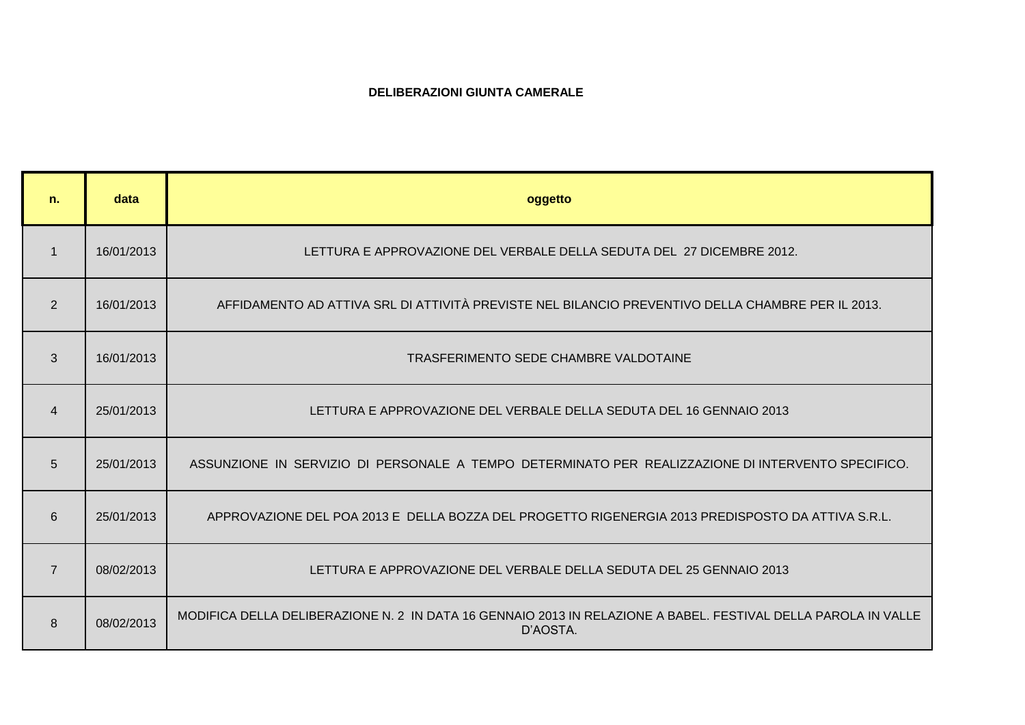## **DELIBERAZIONI GIUNTA CAMERALE**

| n.             | data       | oggetto                                                                                                                    |
|----------------|------------|----------------------------------------------------------------------------------------------------------------------------|
| $\mathbf 1$    | 16/01/2013 | LETTURA E APPROVAZIONE DEL VERBALE DELLA SEDUTA DEL 27 DICEMBRE 2012.                                                      |
| 2              | 16/01/2013 | AFFIDAMENTO AD ATTIVA SRL DI ATTIVITÀ PREVISTE NEL BILANCIO PREVENTIVO DELLA CHAMBRE PER IL 2013.                          |
| 3              | 16/01/2013 | TRASFERIMENTO SEDE CHAMBRE VALDOTAINE                                                                                      |
| $\overline{4}$ | 25/01/2013 | LETTURA E APPROVAZIONE DEL VERBALE DELLA SEDUTA DEL 16 GENNAIO 2013                                                        |
| 5              | 25/01/2013 | ASSUNZIONE IN SERVIZIO DI PERSONALE A TEMPO DETERMINATO PER REALIZZAZIONE DI INTERVENTO SPECIFICO.                         |
| 6              | 25/01/2013 | APPROVAZIONE DEL POA 2013 E DELLA BOZZA DEL PROGETTO RIGENERGIA 2013 PREDISPOSTO DA ATTIVA S.R.L.                          |
| $\overline{7}$ | 08/02/2013 | LETTURA E APPROVAZIONE DEL VERBALE DELLA SEDUTA DEL 25 GENNAIO 2013                                                        |
| 8              | 08/02/2013 | MODIFICA DELLA DELIBERAZIONE N. 2 IN DATA 16 GENNAIO 2013 IN RELAZIONE A BABEL. FESTIVAL DELLA PAROLA IN VALLE<br>D'AOSTA. |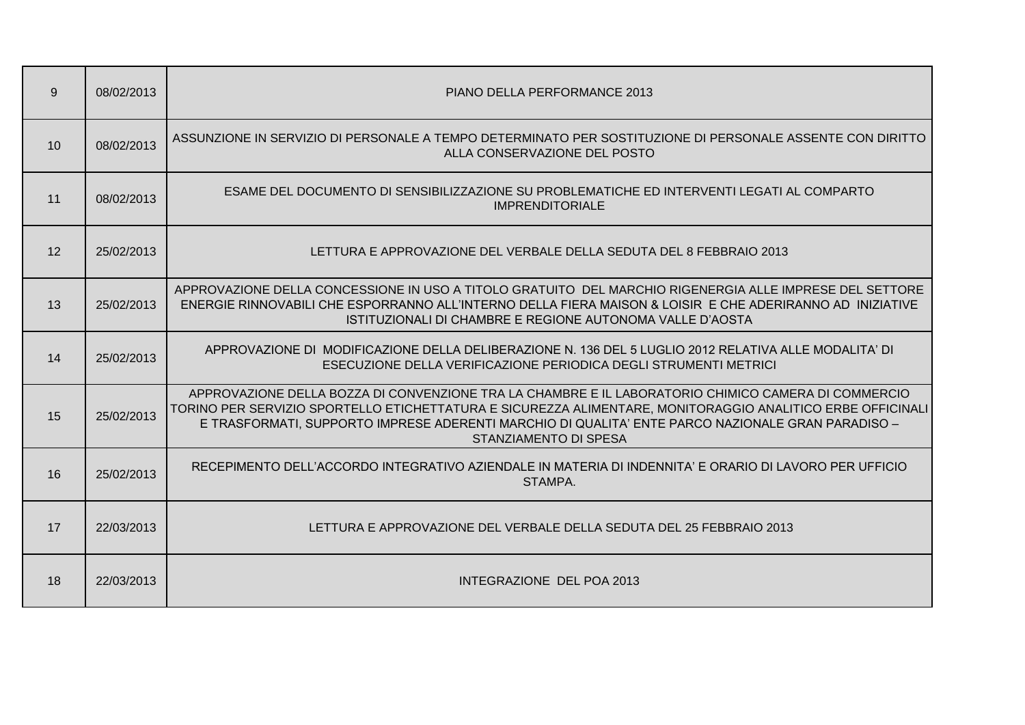| 9  | 08/02/2013 | PIANO DELLA PERFORMANCE 2013                                                                                                                                                                                                                                                                                                                           |
|----|------------|--------------------------------------------------------------------------------------------------------------------------------------------------------------------------------------------------------------------------------------------------------------------------------------------------------------------------------------------------------|
| 10 | 08/02/2013 | ASSUNZIONE IN SERVIZIO DI PERSONALE A TEMPO DETERMINATO PER SOSTITUZIONE DI PERSONALE ASSENTE CON DIRITTO<br>ALLA CONSERVAZIONE DEL POSTO                                                                                                                                                                                                              |
| 11 | 08/02/2013 | ESAME DEL DOCUMENTO DI SENSIBILIZZAZIONE SU PROBLEMATICHE ED INTERVENTI LEGATI AL COMPARTO<br><b>IMPRENDITORIALE</b>                                                                                                                                                                                                                                   |
| 12 | 25/02/2013 | LETTURA E APPROVAZIONE DEL VERBALE DELLA SEDUTA DEL 8 FEBBRAIO 2013                                                                                                                                                                                                                                                                                    |
| 13 | 25/02/2013 | APPROVAZIONE DELLA CONCESSIONE IN USO A TITOLO GRATUITO DEL MARCHIO RIGENERGIA ALLE IMPRESE DEL SETTORE<br>ENERGIE RINNOVABILI CHE ESPORRANNO ALL'INTERNO DELLA FIERA MAISON & LOISIR E CHE ADERIRANNO AD INIZIATIVE<br>ISTITUZIONALI DI CHAMBRE E REGIONE AUTONOMA VALLE D'AOSTA                                                                      |
| 14 | 25/02/2013 | APPROVAZIONE DI MODIFICAZIONE DELLA DELIBERAZIONE N. 136 DEL 5 LUGLIO 2012 RELATIVA ALLE MODALITA' DI<br>ESECUZIONE DELLA VERIFICAZIONE PERIODICA DEGLI STRUMENTI METRICI                                                                                                                                                                              |
| 15 | 25/02/2013 | APPROVAZIONE DELLA BOZZA DI CONVENZIONE TRA LA CHAMBRE E IL LABORATORIO CHIMICO CAMERA DI COMMERCIO<br>TORINO PER SERVIZIO SPORTELLO ETICHETTATURA E SICUREZZA ALIMENTARE, MONITORAGGIO ANALITICO ERBE OFFICINALI<br>E TRASFORMATI, SUPPORTO IMPRESE ADERENTI MARCHIO DI QUALITA' ENTE PARCO NAZIONALE GRAN PARADISO -<br><b>STANZIAMENTO DI SPESA</b> |
| 16 | 25/02/2013 | RECEPIMENTO DELL'ACCORDO INTEGRATIVO AZIENDALE IN MATERIA DI INDENNITA' E ORARIO DI LAVORO PER UFFICIO<br>STAMPA.                                                                                                                                                                                                                                      |
| 17 | 22/03/2013 | LETTURA E APPROVAZIONE DEL VERBALE DELLA SEDUTA DEL 25 FEBBRAIO 2013                                                                                                                                                                                                                                                                                   |
| 18 | 22/03/2013 | INTEGRAZIONE DEL POA 2013                                                                                                                                                                                                                                                                                                                              |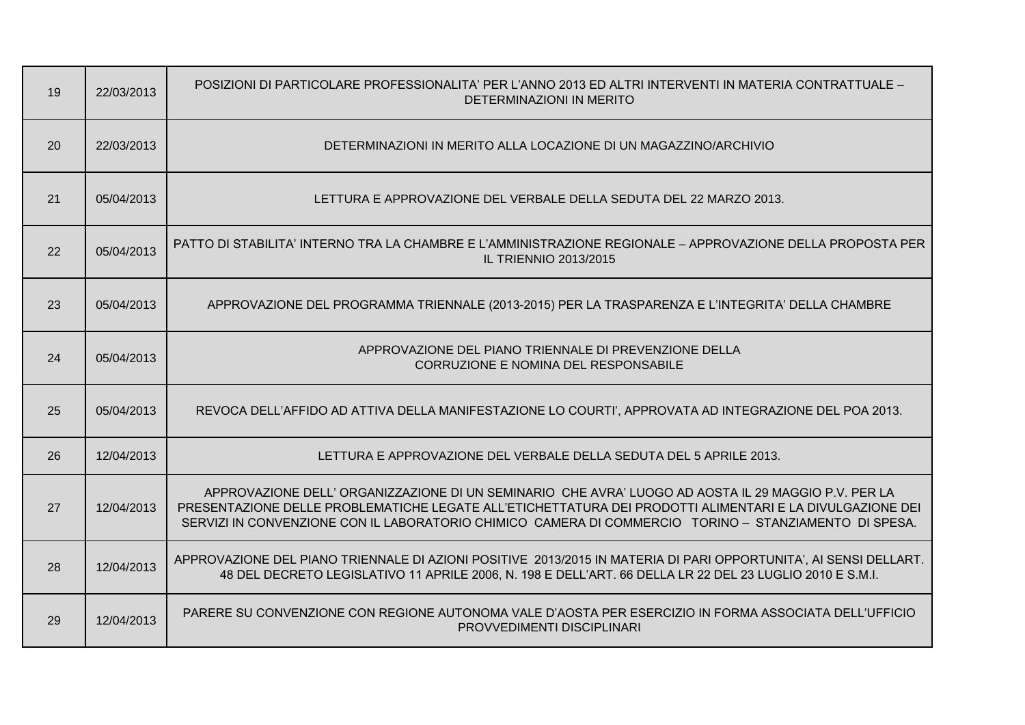| 19 | 22/03/2013 | POSIZIONI DI PARTICOLARE PROFESSIONALITA' PER L'ANNO 2013 ED ALTRI INTERVENTI IN MATERIA CONTRATTUALE -<br>DETERMINAZIONI IN MERITO                                                                                                                                                                                      |
|----|------------|--------------------------------------------------------------------------------------------------------------------------------------------------------------------------------------------------------------------------------------------------------------------------------------------------------------------------|
| 20 | 22/03/2013 | DETERMINAZIONI IN MERITO ALLA LOCAZIONE DI UN MAGAZZINO/ARCHIVIO                                                                                                                                                                                                                                                         |
| 21 | 05/04/2013 | LETTURA E APPROVAZIONE DEL VERBALE DELLA SEDUTA DEL 22 MARZO 2013.                                                                                                                                                                                                                                                       |
| 22 | 05/04/2013 | PATTO DI STABILITA' INTERNO TRA LA CHAMBRE E L'AMMINISTRAZIONE REGIONALE – APPROVAZIONE DELLA PROPOSTA PER<br><b>IL TRIENNIO 2013/2015</b>                                                                                                                                                                               |
| 23 | 05/04/2013 | APPROVAZIONE DEL PROGRAMMA TRIENNALE (2013-2015) PER LA TRASPARENZA E L'INTEGRITA' DELLA CHAMBRE                                                                                                                                                                                                                         |
| 24 | 05/04/2013 | APPROVAZIONE DEL PIANO TRIENNALE DI PREVENZIONE DELLA<br>CORRUZIONE E NOMINA DEL RESPONSABILE                                                                                                                                                                                                                            |
| 25 | 05/04/2013 | REVOCA DELL'AFFIDO AD ATTIVA DELLA MANIFESTAZIONE LO COURTI', APPROVATA AD INTEGRAZIONE DEL POA 2013.                                                                                                                                                                                                                    |
| 26 | 12/04/2013 | LETTURA E APPROVAZIONE DEL VERBALE DELLA SEDUTA DEL 5 APRILE 2013.                                                                                                                                                                                                                                                       |
| 27 | 12/04/2013 | APPROVAZIONE DELL' ORGANIZZAZIONE DI UN SEMINARIO CHE AVRA' LUOGO AD AOSTA IL 29 MAGGIO P.V. PER LA<br>PRESENTAZIONE DELLE PROBLEMATICHE LEGATE ALL'ETICHETTATURA DEI PRODOTTI ALIMENTARI E LA DIVULGAZIONE DEI<br>SERVIZI IN CONVENZIONE CON IL LABORATORIO CHIMICO CAMERA DI COMMERCIO TORINO - STANZIAMENTO DI SPESA. |
| 28 | 12/04/2013 | APPROVAZIONE DEL PIANO TRIENNALE DI AZIONI POSITIVE 2013/2015 IN MATERIA DI PARI OPPORTUNITA', AI SENSI DELLART.<br>48 DEL DECRETO LEGISLATIVO 11 APRILE 2006, N. 198 E DELL'ART. 66 DELLA LR 22 DEL 23 LUGLIO 2010 E S.M.I.                                                                                             |
| 29 | 12/04/2013 | PARERE SU CONVENZIONE CON REGIONE AUTONOMA VALE D'AOSTA PER ESERCIZIO IN FORMA ASSOCIATA DELL'UFFICIO<br><b>PROVVEDIMENTI DISCIPLINARI</b>                                                                                                                                                                               |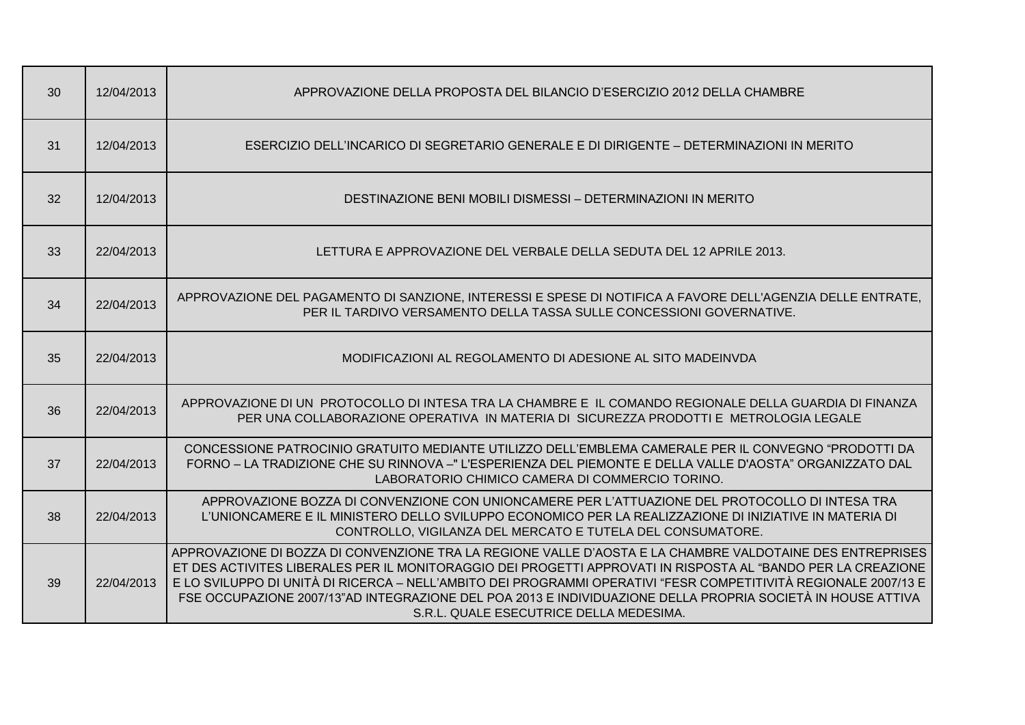| 30 | 12/04/2013 | APPROVAZIONE DELLA PROPOSTA DEL BILANCIO D'ESERCIZIO 2012 DELLA CHAMBRE                                                                                                                                                                                                                                                                                                                                                                                                                                |
|----|------------|--------------------------------------------------------------------------------------------------------------------------------------------------------------------------------------------------------------------------------------------------------------------------------------------------------------------------------------------------------------------------------------------------------------------------------------------------------------------------------------------------------|
| 31 | 12/04/2013 | ESERCIZIO DELL'INCARICO DI SEGRETARIO GENERALE E DI DIRIGENTE – DETERMINAZIONI IN MERITO                                                                                                                                                                                                                                                                                                                                                                                                               |
| 32 | 12/04/2013 | DESTINAZIONE BENI MOBILI DISMESSI - DETERMINAZIONI IN MERITO                                                                                                                                                                                                                                                                                                                                                                                                                                           |
| 33 | 22/04/2013 | LETTURA E APPROVAZIONE DEL VERBALE DELLA SEDUTA DEL 12 APRILE 2013.                                                                                                                                                                                                                                                                                                                                                                                                                                    |
| 34 | 22/04/2013 | APPROVAZIONE DEL PAGAMENTO DI SANZIONE, INTERESSI E SPESE DI NOTIFICA A FAVORE DELL'AGENZIA DELLE ENTRATE,<br>PER IL TARDIVO VERSAMENTO DELLA TASSA SULLE CONCESSIONI GOVERNATIVE.                                                                                                                                                                                                                                                                                                                     |
| 35 | 22/04/2013 | MODIFICAZIONI AL REGOLAMENTO DI ADESIONE AL SITO MADEINVDA                                                                                                                                                                                                                                                                                                                                                                                                                                             |
| 36 | 22/04/2013 | APPROVAZIONE DI UN PROTOCOLLO DI INTESA TRA LA CHAMBRE E IL COMANDO REGIONALE DELLA GUARDIA DI FINANZA<br>PER UNA COLLABORAZIONE OPERATIVA IN MATERIA DI SICUREZZA PRODOTTI E METROLOGIA LEGALE                                                                                                                                                                                                                                                                                                        |
| 37 | 22/04/2013 | CONCESSIONE PATROCINIO GRATUITO MEDIANTE UTILIZZO DELL'EMBLEMA CAMERALE PER IL CONVEGNO "PRODOTTI DA<br>FORNO - LA TRADIZIONE CHE SU RINNOVA -" L'ESPERIENZA DEL PIEMONTE E DELLA VALLE D'AOSTA" ORGANIZZATO DAL<br>LABORATORIO CHIMICO CAMERA DI COMMERCIO TORINO.                                                                                                                                                                                                                                    |
| 38 | 22/04/2013 | APPROVAZIONE BOZZA DI CONVENZIONE CON UNIONCAMERE PER L'ATTUAZIONE DEL PROTOCOLLO DI INTESA TRA<br>L'UNIONCAMERE E IL MINISTERO DELLO SVILUPPO ECONOMICO PER LA REALIZZAZIONE DI INIZIATIVE IN MATERIA DI<br>CONTROLLO, VIGILANZA DEL MERCATO E TUTELA DEL CONSUMATORE.                                                                                                                                                                                                                                |
| 39 | 22/04/2013 | APPROVAZIONE DI BOZZA DI CONVENZIONE TRA LA REGIONE VALLE D'AOSTA E LA CHAMBRE VALDOTAINE DES ENTREPRISES<br>ET DES ACTIVITES LIBERALES PER IL MONITORAGGIO DEI PROGETTI APPROVATI IN RISPOSTA AL "BANDO PER LA CREAZIONE<br>E LO SVILUPPO DI UNITÀ DI RICERCA – NELL'AMBITO DEI PROGRAMMI OPERATIVI "FESR COMPETITIVITÀ REGIONALE 2007/13 E<br>FSE OCCUPAZIONE 2007/13"AD INTEGRAZIONE DEL POA 2013 E INDIVIDUAZIONE DELLA PROPRIA SOCIETÀ IN HOUSE ATTIVA<br>S.R.L. QUALE ESECUTRICE DELLA MEDESIMA. |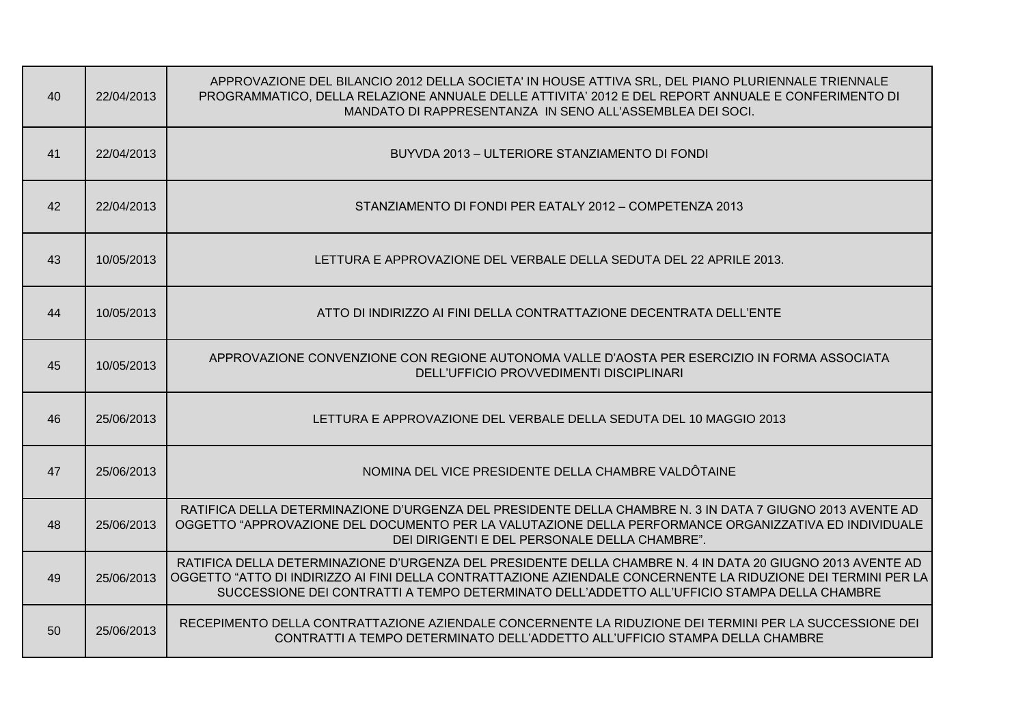| 40 | 22/04/2013 | APPROVAZIONE DEL BILANCIO 2012 DELLA SOCIETA' IN HOUSE ATTIVA SRL, DEL PIANO PLURIENNALE TRIENNALE<br>PROGRAMMATICO, DELLA RELAZIONE ANNUALE DELLE ATTIVITA' 2012 E DEL REPORT ANNUALE E CONFERIMENTO DI<br>MANDATO DI RAPPRESENTANZA IN SENO ALL'ASSEMBLEA DEI SOCI.                                                      |
|----|------------|----------------------------------------------------------------------------------------------------------------------------------------------------------------------------------------------------------------------------------------------------------------------------------------------------------------------------|
| 41 | 22/04/2013 | BUYVDA 2013 - ULTERIORE STANZIAMENTO DI FONDI                                                                                                                                                                                                                                                                              |
| 42 | 22/04/2013 | STANZIAMENTO DI FONDI PER EATALY 2012 - COMPETENZA 2013                                                                                                                                                                                                                                                                    |
| 43 | 10/05/2013 | LETTURA E APPROVAZIONE DEL VERBALE DELLA SEDUTA DEL 22 APRILE 2013.                                                                                                                                                                                                                                                        |
| 44 | 10/05/2013 | ATTO DI INDIRIZZO AI FINI DELLA CONTRATTAZIONE DECENTRATA DELL'ENTE                                                                                                                                                                                                                                                        |
| 45 | 10/05/2013 | APPROVAZIONE CONVENZIONE CON REGIONE AUTONOMA VALLE D'AOSTA PER ESERCIZIO IN FORMA ASSOCIATA<br>DELL'UFFICIO PROVVEDIMENTI DISCIPLINARI                                                                                                                                                                                    |
| 46 | 25/06/2013 | LETTURA E APPROVAZIONE DEL VERBALE DELLA SEDUTA DEL 10 MAGGIO 2013                                                                                                                                                                                                                                                         |
| 47 | 25/06/2013 | NOMINA DEL VICE PRESIDENTE DELLA CHAMBRE VALDÔTAINE                                                                                                                                                                                                                                                                        |
| 48 | 25/06/2013 | RATIFICA DELLA DETERMINAZIONE D'URGENZA DEL PRESIDENTE DELLA CHAMBRE N. 3 IN DATA 7 GIUGNO 2013 AVENTE AD<br>OGGETTO "APPROVAZIONE DEL DOCUMENTO PER LA VALUTAZIONE DELLA PERFORMANCE ORGANIZZATIVA ED INDIVIDUALE<br>DEI DIRIGENTI E DEL PERSONALE DELLA CHAMBRE".                                                        |
| 49 | 25/06/2013 | RATIFICA DELLA DETERMINAZIONE D'URGENZA DEL PRESIDENTE DELLA CHAMBRE N. 4 IN DATA 20 GIUGNO 2013 AVENTE AD<br>OGGETTO "ATTO DI INDIRIZZO AI FINI DELLA CONTRATTAZIONE AZIENDALE CONCERNENTE LA RIDUZIONE DEI TERMINI PER LA<br>SUCCESSIONE DEI CONTRATTI A TEMPO DETERMINATO DELL'ADDETTO ALL'UFFICIO STAMPA DELLA CHAMBRE |
| 50 | 25/06/2013 | RECEPIMENTO DELLA CONTRATTAZIONE AZIENDALE CONCERNENTE LA RIDUZIONE DEI TERMINI PER LA SUCCESSIONE DEI<br>CONTRATTI A TEMPO DETERMINATO DELL'ADDETTO ALL'UFFICIO STAMPA DELLA CHAMBRE                                                                                                                                      |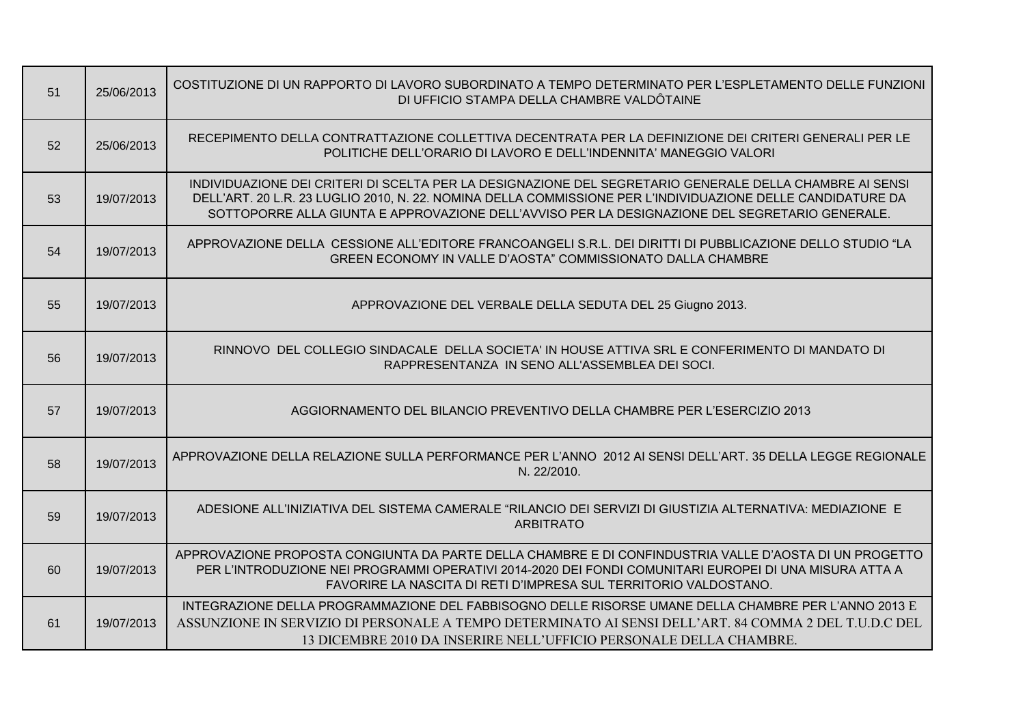| 51 | 25/06/2013 | COSTITUZIONE DI UN RAPPORTO DI LAVORO SUBORDINATO A TEMPO DETERMINATO PER L'ESPLETAMENTO DELLE FUNZIONI<br>DI UFFICIO STAMPA DELLA CHAMBRE VALDÔTAINE                                                                                                                                                                    |
|----|------------|--------------------------------------------------------------------------------------------------------------------------------------------------------------------------------------------------------------------------------------------------------------------------------------------------------------------------|
| 52 | 25/06/2013 | RECEPIMENTO DELLA CONTRATTAZIONE COLLETTIVA DECENTRATA PER LA DEFINIZIONE DEI CRITERI GENERALI PER LE<br>POLITICHE DELL'ORARIO DI LAVORO E DELL'INDENNITA' MANEGGIO VALORI                                                                                                                                               |
| 53 | 19/07/2013 | INDIVIDUAZIONE DEI CRITERI DI SCELTA PER LA DESIGNAZIONE DEL SEGRETARIO GENERALE DELLA CHAMBRE AI SENSI<br>DELL'ART. 20 L.R. 23 LUGLIO 2010, N. 22. NOMINA DELLA COMMISSIONE PER L'INDIVIDUAZIONE DELLE CANDIDATURE DA<br>SOTTOPORRE ALLA GIUNTA E APPROVAZIONE DELL'AVVISO PER LA DESIGNAZIONE DEL SEGRETARIO GENERALE. |
| 54 | 19/07/2013 | APPROVAZIONE DELLA CESSIONE ALL'EDITORE FRANCOANGELI S.R.L. DEI DIRITTI DI PUBBLICAZIONE DELLO STUDIO "LA<br>GREEN ECONOMY IN VALLE D'AOSTA" COMMISSIONATO DALLA CHAMBRE                                                                                                                                                 |
| 55 | 19/07/2013 | APPROVAZIONE DEL VERBALE DELLA SEDUTA DEL 25 Giugno 2013.                                                                                                                                                                                                                                                                |
| 56 | 19/07/2013 | RINNOVO DEL COLLEGIO SINDACALE DELLA SOCIETA' IN HOUSE ATTIVA SRL E CONFERIMENTO DI MANDATO DI<br>RAPPRESENTANZA IN SENO ALL'ASSEMBLEA DEI SOCI.                                                                                                                                                                         |
| 57 | 19/07/2013 | AGGIORNAMENTO DEL BILANCIO PREVENTIVO DELLA CHAMBRE PER L'ESERCIZIO 2013                                                                                                                                                                                                                                                 |
| 58 | 19/07/2013 | APPROVAZIONE DELLA RELAZIONE SULLA PERFORMANCE PER L'ANNO 2012 AI SENSI DELL'ART. 35 DELLA LEGGE REGIONALE<br>N. 22/2010.                                                                                                                                                                                                |
| 59 | 19/07/2013 | ADESIONE ALL'INIZIATIVA DEL SISTEMA CAMERALE "RILANCIO DEI SERVIZI DI GIUSTIZIA ALTERNATIVA: MEDIAZIONE E<br><b>ARBITRATO</b>                                                                                                                                                                                            |
| 60 | 19/07/2013 | APPROVAZIONE PROPOSTA CONGIUNTA DA PARTE DELLA CHAMBRE E DI CONFINDUSTRIA VALLE D'AOSTA DI UN PROGETTO<br>PER L'INTRODUZIONE NEI PROGRAMMI OPERATIVI 2014-2020 DEI FONDI COMUNITARI EUROPEI DI UNA MISURA ATTA A<br>FAVORIRE LA NASCITA DI RETI D'IMPRESA SUL TERRITORIO VALDOSTANO.                                     |
| 61 | 19/07/2013 | INTEGRAZIONE DELLA PROGRAMMAZIONE DEL FABBISOGNO DELLE RISORSE UMANE DELLA CHAMBRE PER L'ANNO 2013 E<br>ASSUNZIONE IN SERVIZIO DI PERSONALE A TEMPO DETERMINATO AI SENSI DELL'ART. 84 COMMA 2 DEL T.U.D.C DEL<br>13 DICEMBRE 2010 DA INSERIRE NELL'UFFICIO PERSONALE DELLA CHAMBRE.                                      |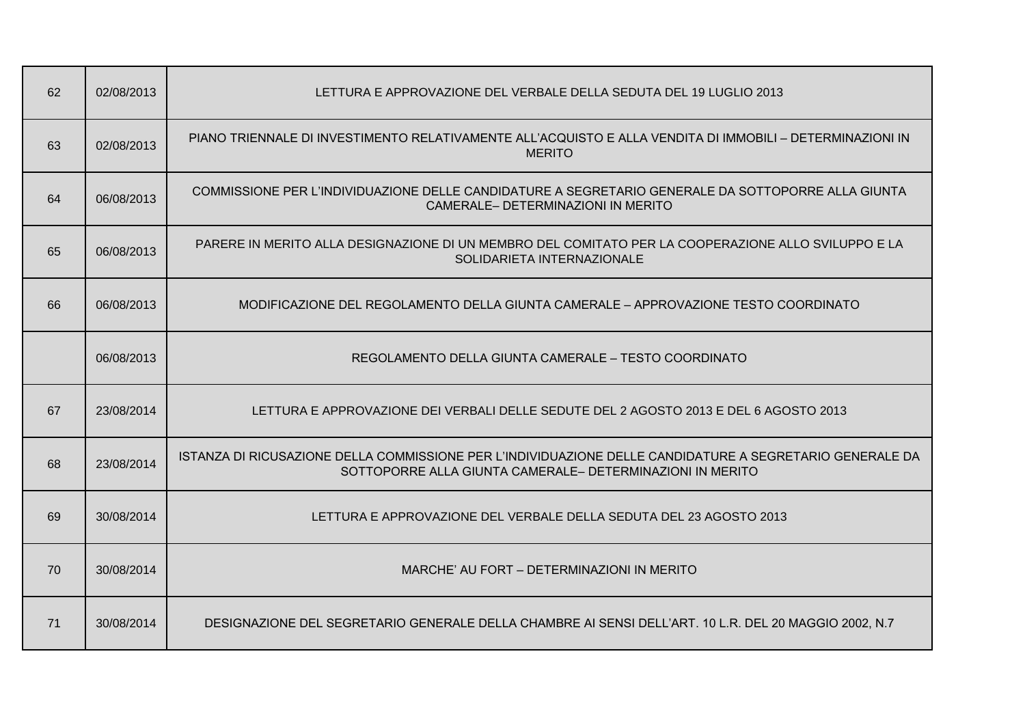| 62 | 02/08/2013 | LETTURA E APPROVAZIONE DEL VERBALE DELLA SEDUTA DEL 19 LUGLIO 2013                                                                                                    |
|----|------------|-----------------------------------------------------------------------------------------------------------------------------------------------------------------------|
| 63 | 02/08/2013 | PIANO TRIENNALE DI INVESTIMENTO RELATIVAMENTE ALL'ACQUISTO E ALLA VENDITA DI IMMOBILI - DETERMINAZIONI IN<br><b>MERITO</b>                                            |
| 64 | 06/08/2013 | COMMISSIONE PER L'INDIVIDUAZIONE DELLE CANDIDATURE A SEGRETARIO GENERALE DA SOTTOPORRE ALLA GIUNTA<br>CAMERALE- DETERMINAZIONI IN MERITO                              |
| 65 | 06/08/2013 | PARERE IN MERITO ALLA DESIGNAZIONE DI UN MEMBRO DEL COMITATO PER LA COOPERAZIONE ALLO SVILUPPO E LA<br>SOLIDARIETA INTERNAZIONALE                                     |
| 66 | 06/08/2013 | MODIFICAZIONE DEL REGOLAMENTO DELLA GIUNTA CAMERALE – APPROVAZIONE TESTO COORDINATO                                                                                   |
|    | 06/08/2013 | REGOLAMENTO DELLA GIUNTA CAMERALE - TESTO COORDINATO                                                                                                                  |
| 67 | 23/08/2014 | LETTURA E APPROVAZIONE DEI VERBALI DELLE SEDUTE DEL 2 AGOSTO 2013 E DEL 6 AGOSTO 2013                                                                                 |
| 68 | 23/08/2014 | ISTANZA DI RICUSAZIONE DELLA COMMISSIONE PER L'INDIVIDUAZIONE DELLE CANDIDATURE A SEGRETARIO GENERALE DA<br>SOTTOPORRE ALLA GIUNTA CAMERALE- DETERMINAZIONI IN MERITO |
| 69 | 30/08/2014 | LETTURA E APPROVAZIONE DEL VERBALE DELLA SEDUTA DEL 23 AGOSTO 2013                                                                                                    |
| 70 | 30/08/2014 | MARCHE' AU FORT - DETERMINAZIONI IN MERITO                                                                                                                            |
| 71 | 30/08/2014 | DESIGNAZIONE DEL SEGRETARIO GENERALE DELLA CHAMBRE AI SENSI DELL'ART. 10 L.R. DEL 20 MAGGIO 2002, N.7                                                                 |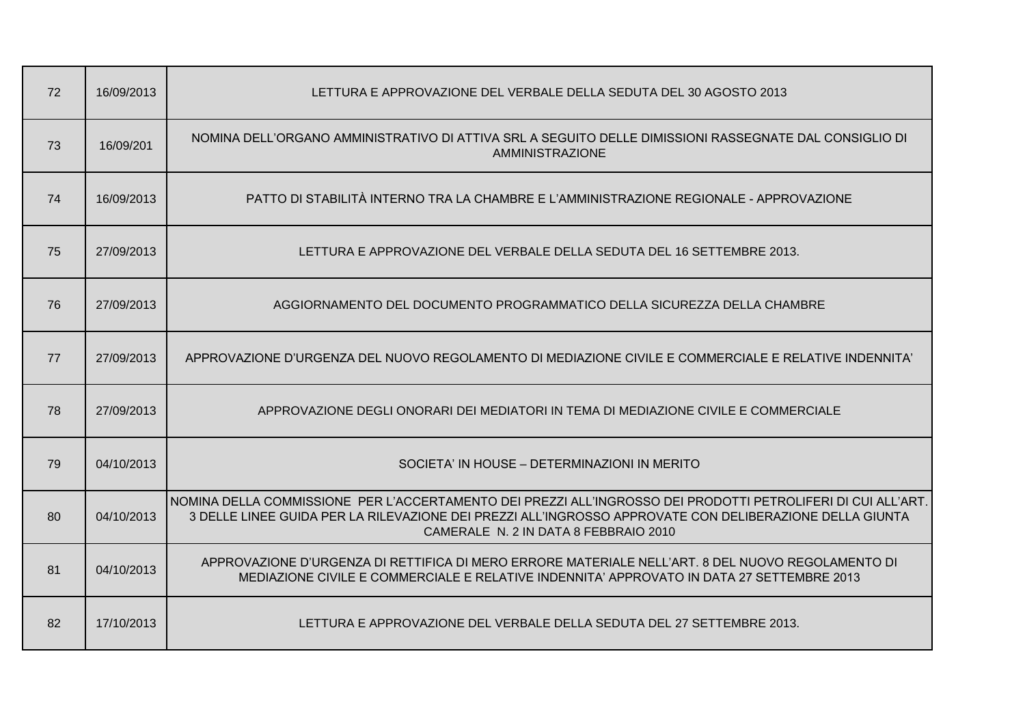| 72 | 16/09/2013 | LETTURA E APPROVAZIONE DEL VERBALE DELLA SEDUTA DEL 30 AGOSTO 2013                                                                                                                                                                                               |
|----|------------|------------------------------------------------------------------------------------------------------------------------------------------------------------------------------------------------------------------------------------------------------------------|
| 73 | 16/09/201  | NOMINA DELL'ORGANO AMMINISTRATIVO DI ATTIVA SRL A SEGUITO DELLE DIMISSIONI RASSEGNATE DAL CONSIGLIO DI<br><b>AMMINISTRAZIONE</b>                                                                                                                                 |
| 74 | 16/09/2013 | PATTO DI STABILITÀ INTERNO TRA LA CHAMBRE E L'AMMINISTRAZIONE REGIONALE - APPROVAZIONE                                                                                                                                                                           |
| 75 | 27/09/2013 | LETTURA E APPROVAZIONE DEL VERBALE DELLA SEDUTA DEL 16 SETTEMBRE 2013.                                                                                                                                                                                           |
| 76 | 27/09/2013 | AGGIORNAMENTO DEL DOCUMENTO PROGRAMMATICO DELLA SICUREZZA DELLA CHAMBRE                                                                                                                                                                                          |
| 77 | 27/09/2013 | APPROVAZIONE D'URGENZA DEL NUOVO REGOLAMENTO DI MEDIAZIONE CIVILE E COMMERCIALE E RELATIVE INDENNITA'                                                                                                                                                            |
| 78 | 27/09/2013 | APPROVAZIONE DEGLI ONORARI DEI MEDIATORI IN TEMA DI MEDIAZIONE CIVILE E COMMERCIALE                                                                                                                                                                              |
| 79 | 04/10/2013 | SOCIETA' IN HOUSE - DETERMINAZIONI IN MERITO                                                                                                                                                                                                                     |
| 80 | 04/10/2013 | NOMINA DELLA COMMISSIONE PER L'ACCERTAMENTO DEI PREZZI ALL'INGROSSO DEI PRODOTTI PETROLIFERI DI CUI ALL'ART.<br>3 DELLE LINEE GUIDA PER LA RILEVAZIONE DEI PREZZI ALL'INGROSSO APPROVATE CON DELIBERAZIONE DELLA GIUNTA<br>CAMERALE N. 2 IN DATA 8 FEBBRAIO 2010 |
| 81 | 04/10/2013 | APPROVAZIONE D'URGENZA DI RETTIFICA DI MERO ERRORE MATERIALE NELL'ART. 8 DEL NUOVO REGOLAMENTO DI<br>MEDIAZIONE CIVILE E COMMERCIALE E RELATIVE INDENNITA' APPROVATO IN DATA 27 SETTEMBRE 2013                                                                   |
| 82 | 17/10/2013 | LETTURA E APPROVAZIONE DEL VERBALE DELLA SEDUTA DEL 27 SETTEMBRE 2013.                                                                                                                                                                                           |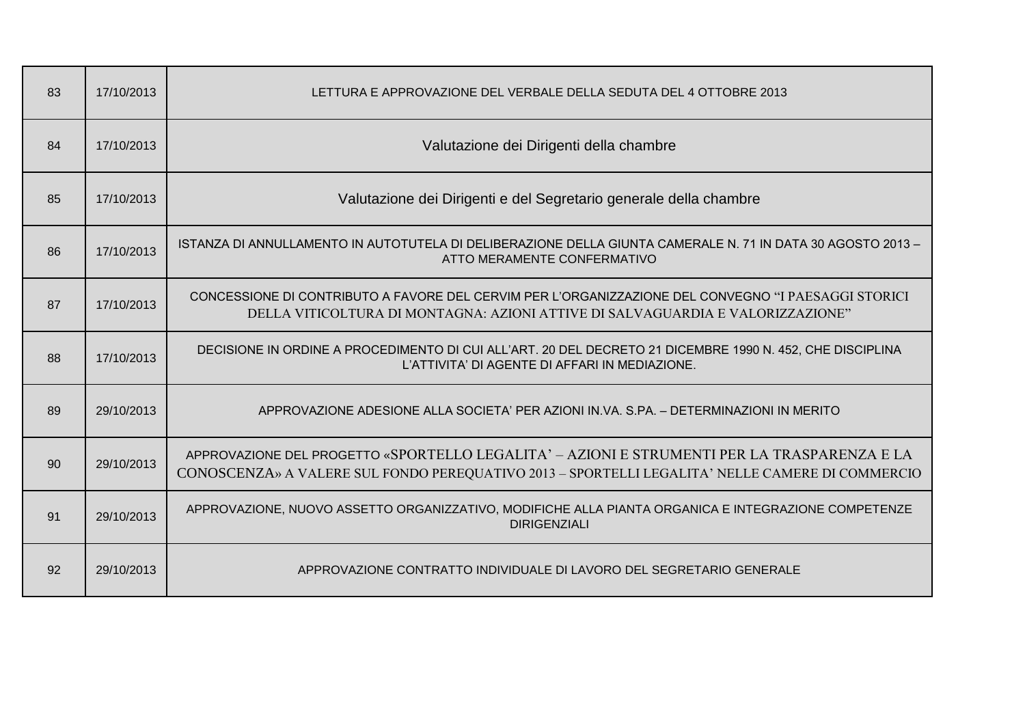| 83 | 17/10/2013 | LETTURA E APPROVAZIONE DEL VERBALE DELLA SEDUTA DEL 4 OTTOBRE 2013                                                                                                                             |
|----|------------|------------------------------------------------------------------------------------------------------------------------------------------------------------------------------------------------|
| 84 | 17/10/2013 | Valutazione dei Dirigenti della chambre                                                                                                                                                        |
| 85 | 17/10/2013 | Valutazione dei Dirigenti e del Segretario generale della chambre                                                                                                                              |
| 86 | 17/10/2013 | ISTANZA DI ANNULLAMENTO IN AUTOTUTELA DI DELIBERAZIONE DELLA GIUNTA CAMERALE N. 71 IN DATA 30 AGOSTO 2013 -<br>ATTO MERAMENTE CONFERMATIVO                                                     |
| 87 | 17/10/2013 | CONCESSIONE DI CONTRIBUTO A FAVORE DEL CERVIM PER L'ORGANIZZAZIONE DEL CONVEGNO "I PAESAGGI STORICI<br>DELLA VITICOLTURA DI MONTAGNA: AZIONI ATTIVE DI SALVAGUARDIA E VALORIZZAZIONE"          |
| 88 | 17/10/2013 | DECISIONE IN ORDINE A PROCEDIMENTO DI CUI ALL'ART. 20 DEL DECRETO 21 DICEMBRE 1990 N. 452, CHE DISCIPLINA<br>L'ATTIVITA' DI AGENTE DI AFFARI IN MEDIAZIONE.                                    |
| 89 | 29/10/2013 | APPROVAZIONE ADESIONE ALLA SOCIETA' PER AZIONI IN.VA. S.PA. - DETERMINAZIONI IN MERITO                                                                                                         |
| 90 | 29/10/2013 | APPROVAZIONE DEL PROGETTO «SPORTELLO LEGALITA' – AZIONI E STRUMENTI PER LA TRASPARENZA E LA<br>CONOSCENZA» A VALERE SUL FONDO PEREQUATIVO 2013 - SPORTELLI LEGALITA' NELLE CAMERE DI COMMERCIO |
| 91 | 29/10/2013 | APPROVAZIONE, NUOVO ASSETTO ORGANIZZATIVO, MODIFICHE ALLA PIANTA ORGANICA E INTEGRAZIONE COMPETENZE<br><b>DIRIGENZIALI</b>                                                                     |
| 92 | 29/10/2013 | APPROVAZIONE CONTRATTO INDIVIDUALE DI LAVORO DEL SEGRETARIO GENERALE                                                                                                                           |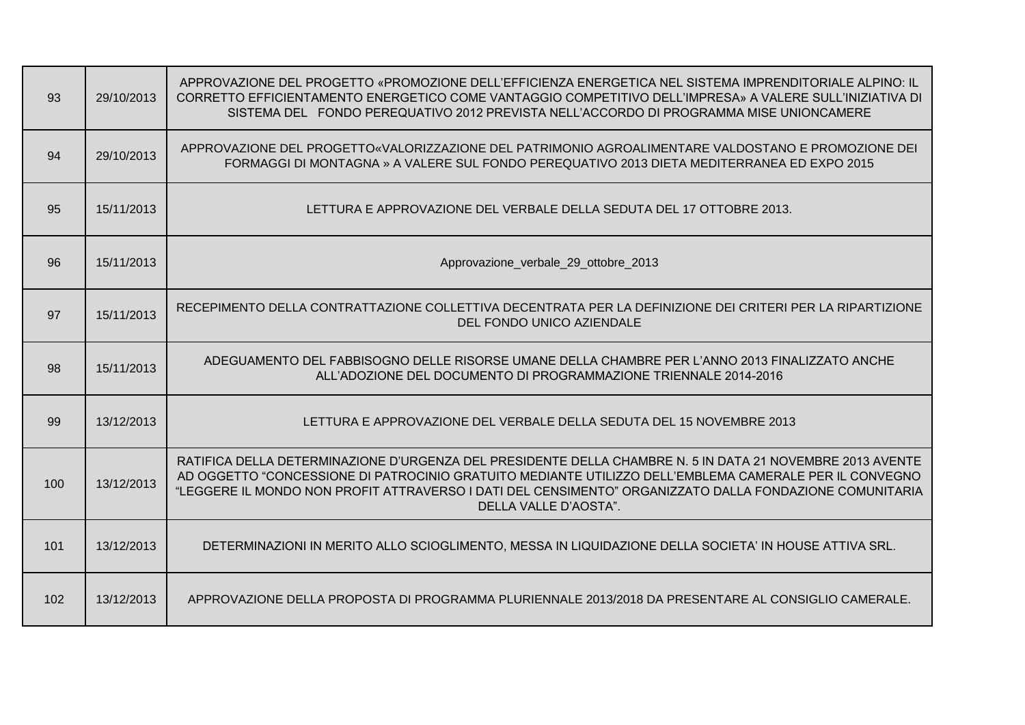| 93  | 29/10/2013 | APPROVAZIONE DEL PROGETTO «PROMOZIONE DELL'EFFICIENZA ENERGETICA NEL SISTEMA IMPRENDITORIALE ALPINO: IL<br>CORRETTO EFFICIENTAMENTO ENERGETICO COME VANTAGGIO COMPETITIVO DELL'IMPRESA» A VALERE SULL'INIZIATIVA DI<br>SISTEMA DEL FONDO PEREQUATIVO 2012 PREVISTA NELL'ACCORDO DI PROGRAMMA MISE UNIONCAMERE                                           |
|-----|------------|---------------------------------------------------------------------------------------------------------------------------------------------------------------------------------------------------------------------------------------------------------------------------------------------------------------------------------------------------------|
| 94  | 29/10/2013 | APPROVAZIONE DEL PROGETTO«VALORIZZAZIONE DEL PATRIMONIO AGROALIMENTARE VALDOSTANO E PROMOZIONE DEI<br>FORMAGGI DI MONTAGNA » A VALERE SUL FONDO PEREQUATIVO 2013 DIETA MEDITERRANEA ED EXPO 2015                                                                                                                                                        |
| 95  | 15/11/2013 | LETTURA E APPROVAZIONE DEL VERBALE DELLA SEDUTA DEL 17 OTTOBRE 2013.                                                                                                                                                                                                                                                                                    |
| 96  | 15/11/2013 | Approvazione_verbale_29_ottobre_2013                                                                                                                                                                                                                                                                                                                    |
| 97  | 15/11/2013 | RECEPIMENTO DELLA CONTRATTAZIONE COLLETTIVA DECENTRATA PER LA DEFINIZIONE DEI CRITERI PER LA RIPARTIZIONE<br>DEL FONDO UNICO AZIENDALE                                                                                                                                                                                                                  |
| 98  | 15/11/2013 | ADEGUAMENTO DEL FABBISOGNO DELLE RISORSE UMANE DELLA CHAMBRE PER L'ANNO 2013 FINALIZZATO ANCHE<br>ALL'ADOZIONE DEL DOCUMENTO DI PROGRAMMAZIONE TRIENNALE 2014-2016                                                                                                                                                                                      |
| 99  | 13/12/2013 | LETTURA E APPROVAZIONE DEL VERBALE DELLA SEDUTA DEL 15 NOVEMBRE 2013                                                                                                                                                                                                                                                                                    |
| 100 | 13/12/2013 | RATIFICA DELLA DETERMINAZIONE D'URGENZA DEL PRESIDENTE DELLA CHAMBRE N. 5 IN DATA 21 NOVEMBRE 2013 AVENTE<br>AD OGGETTO "CONCESSIONE DI PATROCINIO GRATUITO MEDIANTE UTILIZZO DELL'EMBLEMA CAMERALE PER IL CONVEGNO<br>"LEGGERE IL MONDO NON PROFIT ATTRAVERSO I DATI DEL CENSIMENTO" ORGANIZZATO DALLA FONDAZIONE COMUNITARIA<br>DELLA VALLE D'AOSTA". |
| 101 | 13/12/2013 | DETERMINAZIONI IN MERITO ALLO SCIOGLIMENTO, MESSA IN LIQUIDAZIONE DELLA SOCIETA' IN HOUSE ATTIVA SRL.                                                                                                                                                                                                                                                   |
| 102 | 13/12/2013 | APPROVAZIONE DELLA PROPOSTA DI PROGRAMMA PLURIENNALE 2013/2018 DA PRESENTARE AL CONSIGLIO CAMERALE.                                                                                                                                                                                                                                                     |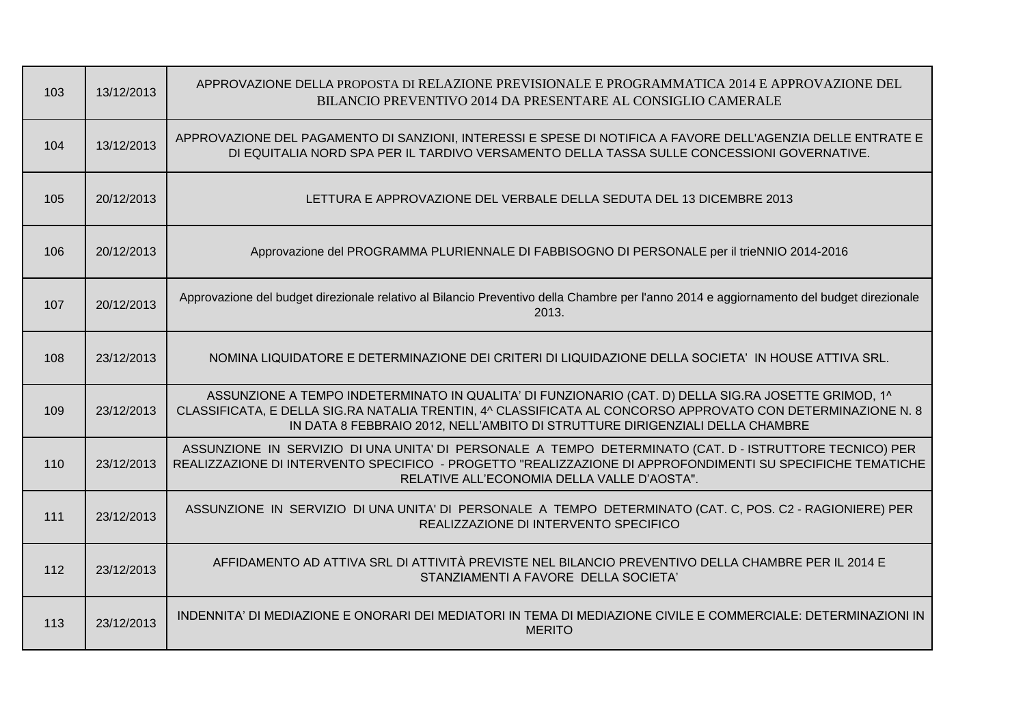| 103 | 13/12/2013 | APPROVAZIONE DELLA PROPOSTA DI RELAZIONE PREVISIONALE E PROGRAMMATICA 2014 E APPROVAZIONE DEL<br>BILANCIO PREVENTIVO 2014 DA PRESENTARE AL CONSIGLIO CAMERALE                                                                                                                                       |
|-----|------------|-----------------------------------------------------------------------------------------------------------------------------------------------------------------------------------------------------------------------------------------------------------------------------------------------------|
| 104 | 13/12/2013 | APPROVAZIONE DEL PAGAMENTO DI SANZIONI, INTERESSI E SPESE DI NOTIFICA A FAVORE DELL'AGENZIA DELLE ENTRATE E<br>DI EQUITALIA NORD SPA PER IL TARDIVO VERSAMENTO DELLA TASSA SULLE CONCESSIONI GOVERNATIVE.                                                                                           |
| 105 | 20/12/2013 | LETTURA E APPROVAZIONE DEL VERBALE DELLA SEDUTA DEL 13 DICEMBRE 2013                                                                                                                                                                                                                                |
| 106 | 20/12/2013 | Approvazione del PROGRAMMA PLURIENNALE DI FABBISOGNO DI PERSONALE per il trieNNIO 2014-2016                                                                                                                                                                                                         |
| 107 | 20/12/2013 | Approvazione del budget direzionale relativo al Bilancio Preventivo della Chambre per l'anno 2014 e aggiornamento del budget direzionale<br>2013.                                                                                                                                                   |
| 108 | 23/12/2013 | NOMINA LIQUIDATORE E DETERMINAZIONE DEI CRITERI DI LIQUIDAZIONE DELLA SOCIETA' IN HOUSE ATTIVA SRL.                                                                                                                                                                                                 |
| 109 | 23/12/2013 | ASSUNZIONE A TEMPO INDETERMINATO IN QUALITA' DI FUNZIONARIO (CAT. D) DELLA SIG.RA JOSETTE GRIMOD, 1^<br>CLASSIFICATA, E DELLA SIG.RA NATALIA TRENTIN, 4^ CLASSIFICATA AL CONCORSO APPROVATO CON DETERMINAZIONE N. 8<br>IN DATA 8 FEBBRAIO 2012, NELL'AMBITO DI STRUTTURE DIRIGENZIALI DELLA CHAMBRE |
| 110 | 23/12/2013 | ASSUNZIONE IN SERVIZIO DI UNA UNITA' DI PERSONALE A TEMPO DETERMINATO (CAT. D - ISTRUTTORE TECNICO) PER<br>REALIZZAZIONE DI INTERVENTO SPECIFICO - PROGETTO "REALIZZAZIONE DI APPROFONDIMENTI SU SPECIFICHE TEMATICHE<br>RELATIVE ALL'ECONOMIA DELLA VALLE D'AOSTA".                                |
| 111 | 23/12/2013 | ASSUNZIONE IN SERVIZIO DI UNA UNITA' DI PERSONALE A TEMPO DETERMINATO (CAT. C, POS. C2 - RAGIONIERE) PER<br>REALIZZAZIONE DI INTERVENTO SPECIFICO                                                                                                                                                   |
| 112 | 23/12/2013 | AFFIDAMENTO AD ATTIVA SRL DI ATTIVITÀ PREVISTE NEL BILANCIO PREVENTIVO DELLA CHAMBRE PER IL 2014 E<br>STANZIAMENTI A FAVORE DELLA SOCIETA'                                                                                                                                                          |
| 113 | 23/12/2013 | INDENNITA' DI MEDIAZIONE E ONORARI DEI MEDIATORI IN TEMA DI MEDIAZIONE CIVILE E COMMERCIALE: DETERMINAZIONI IN<br><b>MERITO</b>                                                                                                                                                                     |